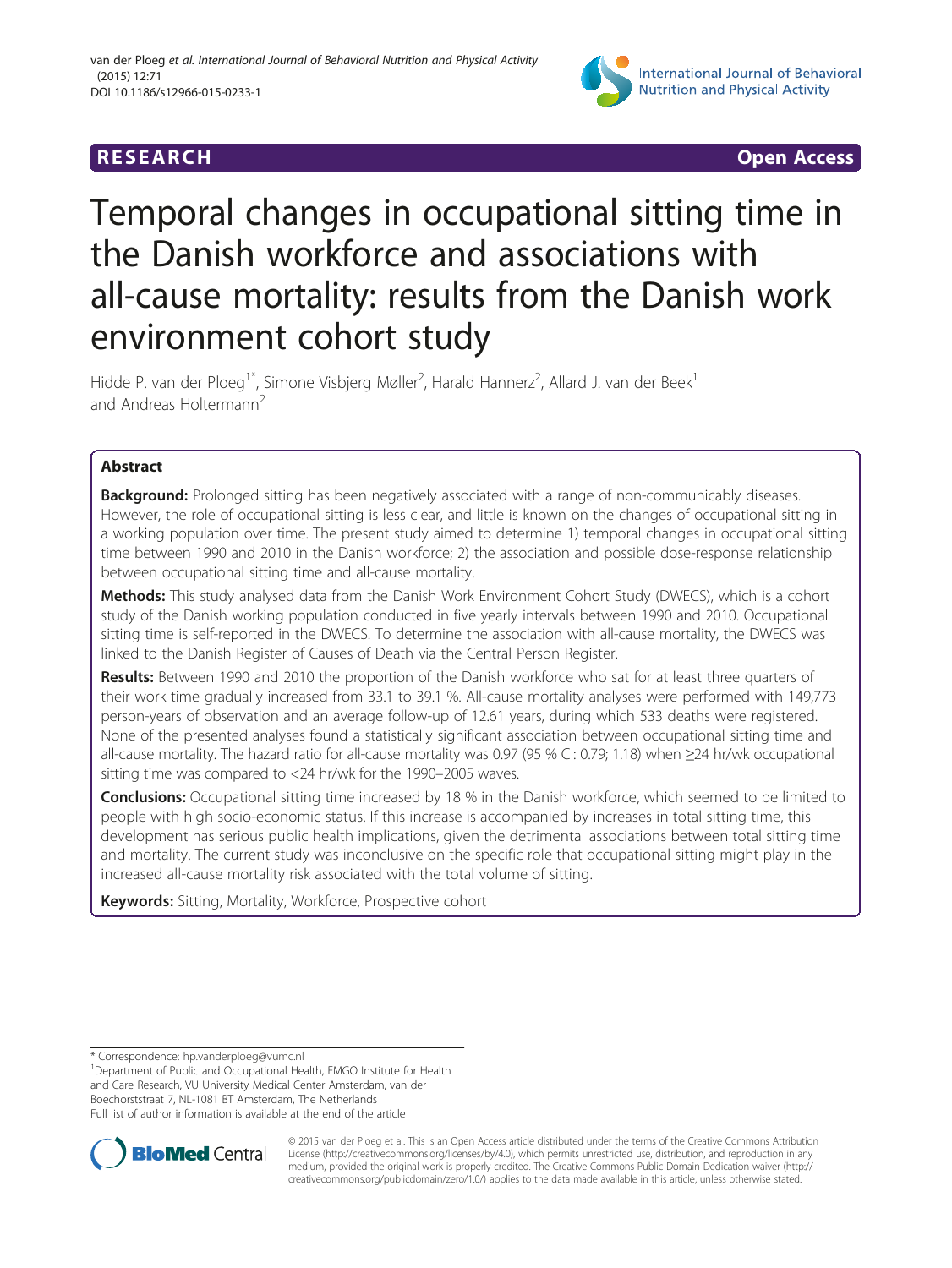## **RESEARCH CHEAR CHEART CHEART CHEART CHEART CHEART CHEART CHEART CHEAP CHEAP CHEAP CHEAP CHEAP CHEAP CHEAP CHEA**



# Temporal changes in occupational sitting time in the Danish workforce and associations with all-cause mortality: results from the Danish work environment cohort study

Hidde P. van der Ploeg<sup>1\*</sup>, Simone Visbjerg Møller<sup>2</sup>, Harald Hannerz<sup>2</sup>, Allard J. van der Beek<sup>1</sup> and Andreas Holtermann<sup>2</sup>

### Abstract

Background: Prolonged sitting has been negatively associated with a range of non-communicably diseases. However, the role of occupational sitting is less clear, and little is known on the changes of occupational sitting in a working population over time. The present study aimed to determine 1) temporal changes in occupational sitting time between 1990 and 2010 in the Danish workforce; 2) the association and possible dose-response relationship between occupational sitting time and all-cause mortality.

Methods: This study analysed data from the Danish Work Environment Cohort Study (DWECS), which is a cohort study of the Danish working population conducted in five yearly intervals between 1990 and 2010. Occupational sitting time is self-reported in the DWECS. To determine the association with all-cause mortality, the DWECS was linked to the Danish Register of Causes of Death via the Central Person Register.

Results: Between 1990 and 2010 the proportion of the Danish workforce who sat for at least three quarters of their work time gradually increased from 33.1 to 39.1 %. All-cause mortality analyses were performed with 149,773 person-years of observation and an average follow-up of 12.61 years, during which 533 deaths were registered. None of the presented analyses found a statistically significant association between occupational sitting time and all-cause mortality. The hazard ratio for all-cause mortality was 0.97 (95 % CI: 0.79; 1.18) when ≥24 hr/wk occupational sitting time was compared to <24 hr/wk for the 1990–2005 waves.

Conclusions: Occupational sitting time increased by 18 % in the Danish workforce, which seemed to be limited to people with high socio-economic status. If this increase is accompanied by increases in total sitting time, this development has serious public health implications, given the detrimental associations between total sitting time and mortality. The current study was inconclusive on the specific role that occupational sitting might play in the increased all-cause mortality risk associated with the total volume of sitting.

Keywords: Sitting, Mortality, Workforce, Prospective cohort

\* Correspondence: [hp.vanderploeg@vumc.nl](mailto:hp.vanderploeg@vumc.nl) <sup>1</sup>

Department of Public and Occupational Health, EMGO Institute for Health and Care Research, VU University Medical Center Amsterdam, van der Boechorststraat 7, NL-1081 BT Amsterdam, The Netherlands Full list of author information is available at the end of the article



© 2015 van der Ploeg et al. This is an Open Access article distributed under the terms of the Creative Commons Attribution License (<http://creativecommons.org/licenses/by/4.0>), which permits unrestricted use, distribution, and reproduction in any medium, provided the original work is properly credited. The Creative Commons Public Domain Dedication waiver [\(http://](http://creativecommons.org/publicdomain/zero/1.0/) [creativecommons.org/publicdomain/zero/1.0/\)](http://creativecommons.org/publicdomain/zero/1.0/) applies to the data made available in this article, unless otherwise stated.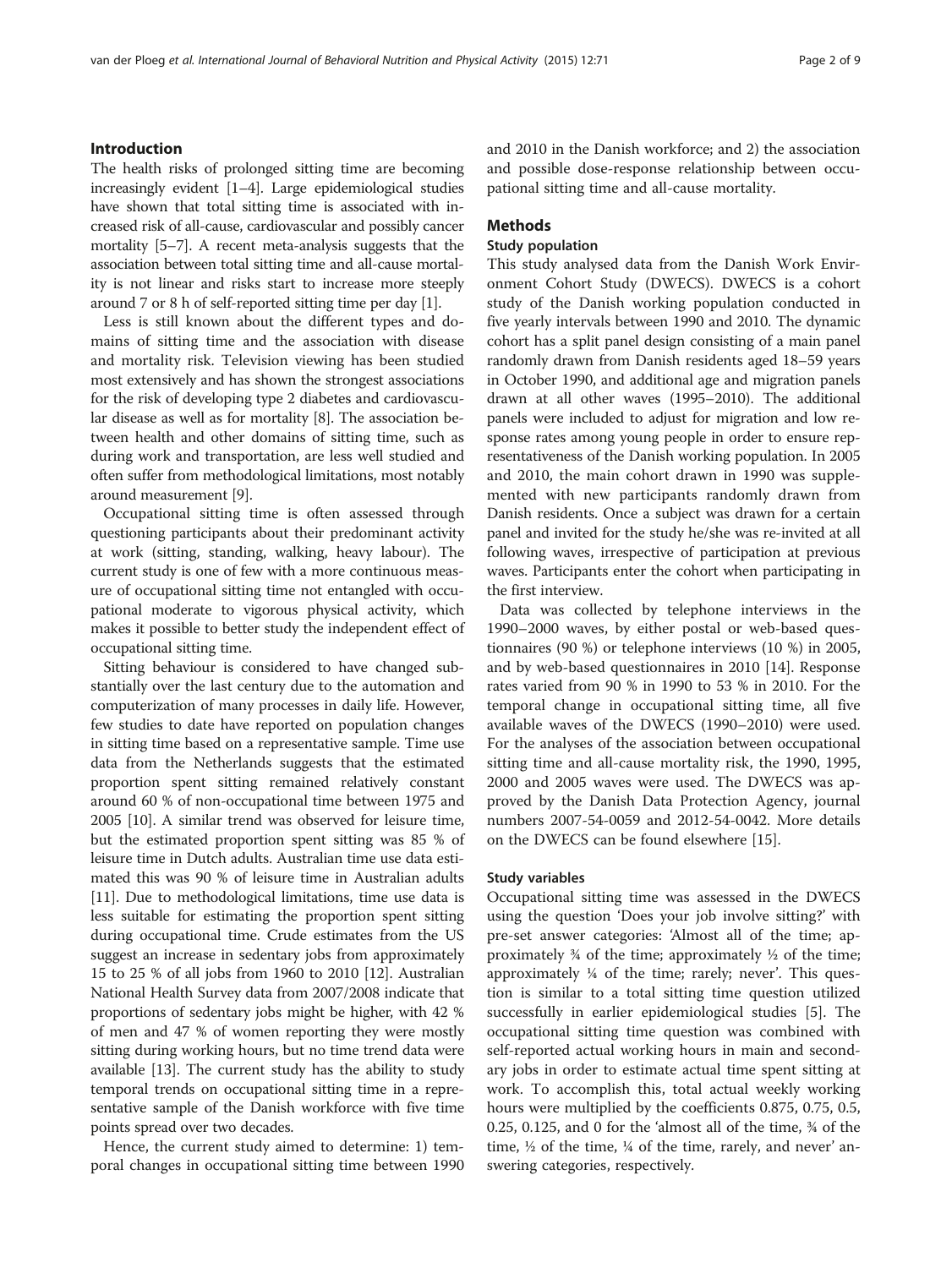#### Introduction

The health risks of prolonged sitting time are becoming increasingly evident [[1](#page-8-0)–[4\]](#page-8-0). Large epidemiological studies have shown that total sitting time is associated with increased risk of all-cause, cardiovascular and possibly cancer mortality [[5](#page-8-0)–[7](#page-8-0)]. A recent meta-analysis suggests that the association between total sitting time and all-cause mortality is not linear and risks start to increase more steeply around 7 or 8 h of self-reported sitting time per day [\[1](#page-8-0)].

Less is still known about the different types and domains of sitting time and the association with disease and mortality risk. Television viewing has been studied most extensively and has shown the strongest associations for the risk of developing type 2 diabetes and cardiovascular disease as well as for mortality [\[8\]](#page-8-0). The association between health and other domains of sitting time, such as during work and transportation, are less well studied and often suffer from methodological limitations, most notably around measurement [\[9\]](#page-8-0).

Occupational sitting time is often assessed through questioning participants about their predominant activity at work (sitting, standing, walking, heavy labour). The current study is one of few with a more continuous measure of occupational sitting time not entangled with occupational moderate to vigorous physical activity, which makes it possible to better study the independent effect of occupational sitting time.

Sitting behaviour is considered to have changed substantially over the last century due to the automation and computerization of many processes in daily life. However, few studies to date have reported on population changes in sitting time based on a representative sample. Time use data from the Netherlands suggests that the estimated proportion spent sitting remained relatively constant around 60 % of non-occupational time between 1975 and 2005 [[10](#page-8-0)]. A similar trend was observed for leisure time, but the estimated proportion spent sitting was 85 % of leisure time in Dutch adults. Australian time use data estimated this was 90 % of leisure time in Australian adults [[11](#page-8-0)]. Due to methodological limitations, time use data is less suitable for estimating the proportion spent sitting during occupational time. Crude estimates from the US suggest an increase in sedentary jobs from approximately 15 to 25 % of all jobs from 1960 to 2010 [\[12\]](#page-8-0). Australian National Health Survey data from 2007/2008 indicate that proportions of sedentary jobs might be higher, with 42 % of men and 47 % of women reporting they were mostly sitting during working hours, but no time trend data were available [[13](#page-8-0)]. The current study has the ability to study temporal trends on occupational sitting time in a representative sample of the Danish workforce with five time points spread over two decades.

Hence, the current study aimed to determine: 1) temporal changes in occupational sitting time between 1990 and 2010 in the Danish workforce; and 2) the association and possible dose-response relationship between occupational sitting time and all-cause mortality.

#### Methods

#### Study population

This study analysed data from the Danish Work Environment Cohort Study (DWECS). DWECS is a cohort study of the Danish working population conducted in five yearly intervals between 1990 and 2010. The dynamic cohort has a split panel design consisting of a main panel randomly drawn from Danish residents aged 18–59 years in October 1990, and additional age and migration panels drawn at all other waves (1995–2010). The additional panels were included to adjust for migration and low response rates among young people in order to ensure representativeness of the Danish working population. In 2005 and 2010, the main cohort drawn in 1990 was supplemented with new participants randomly drawn from Danish residents. Once a subject was drawn for a certain panel and invited for the study he/she was re-invited at all following waves, irrespective of participation at previous waves. Participants enter the cohort when participating in the first interview.

Data was collected by telephone interviews in the 1990–2000 waves, by either postal or web-based questionnaires (90 %) or telephone interviews (10 %) in 2005, and by web-based questionnaires in 2010 [[14\]](#page-8-0). Response rates varied from 90 % in 1990 to 53 % in 2010. For the temporal change in occupational sitting time, all five available waves of the DWECS (1990–2010) were used. For the analyses of the association between occupational sitting time and all-cause mortality risk, the 1990, 1995, 2000 and 2005 waves were used. The DWECS was approved by the Danish Data Protection Agency, journal numbers 2007-54-0059 and 2012-54-0042. More details on the DWECS can be found elsewhere [[15](#page-8-0)].

#### Study variables

Occupational sitting time was assessed in the DWECS using the question 'Does your job involve sitting?' with pre-set answer categories: 'Almost all of the time; approximately  $\frac{3}{4}$  of the time; approximately  $\frac{1}{2}$  of the time; approximately ¼ of the time; rarely; never'. This question is similar to a total sitting time question utilized successfully in earlier epidemiological studies [\[5\]](#page-8-0). The occupational sitting time question was combined with self-reported actual working hours in main and secondary jobs in order to estimate actual time spent sitting at work. To accomplish this, total actual weekly working hours were multiplied by the coefficients 0.875, 0.75, 0.5, 0.25, 0.125, and 0 for the 'almost all of the time, ¾ of the time,  $\frac{1}{2}$  of the time,  $\frac{1}{4}$  of the time, rarely, and never' answering categories, respectively.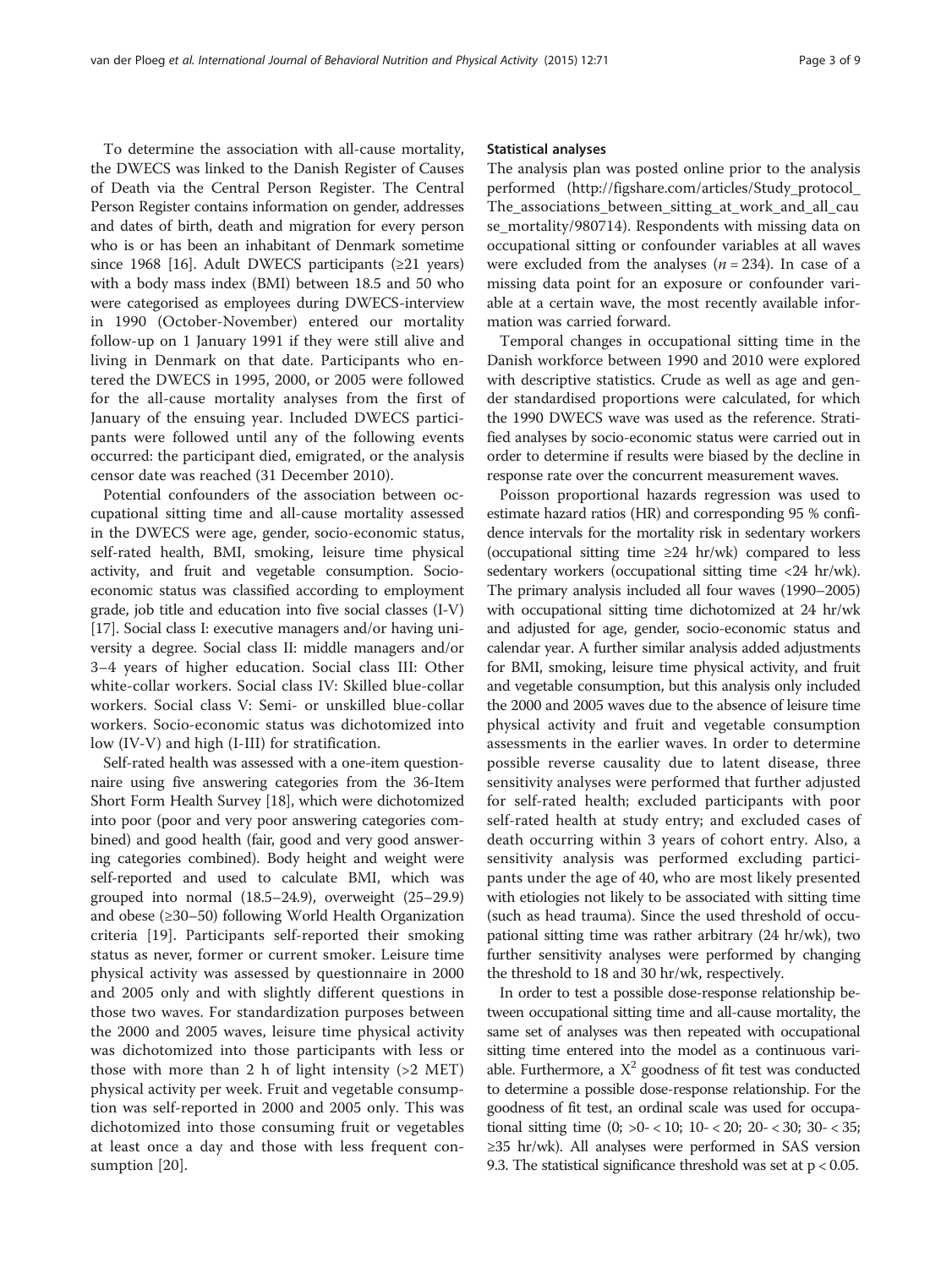To determine the association with all-cause mortality, the DWECS was linked to the Danish Register of Causes of Death via the Central Person Register. The Central Person Register contains information on gender, addresses and dates of birth, death and migration for every person who is or has been an inhabitant of Denmark sometime since 1968 [\[16\]](#page-8-0). Adult DWECS participants  $(≥21$  years) with a body mass index (BMI) between 18.5 and 50 who were categorised as employees during DWECS-interview in 1990 (October-November) entered our mortality follow-up on 1 January 1991 if they were still alive and living in Denmark on that date. Participants who entered the DWECS in 1995, 2000, or 2005 were followed for the all-cause mortality analyses from the first of January of the ensuing year. Included DWECS participants were followed until any of the following events occurred: the participant died, emigrated, or the analysis censor date was reached (31 December 2010).

Potential confounders of the association between occupational sitting time and all-cause mortality assessed in the DWECS were age, gender, socio-economic status, self-rated health, BMI, smoking, leisure time physical activity, and fruit and vegetable consumption. Socioeconomic status was classified according to employment grade, job title and education into five social classes (I-V) [[17](#page-8-0)]. Social class I: executive managers and/or having university a degree. Social class II: middle managers and/or 3–4 years of higher education. Social class III: Other white-collar workers. Social class IV: Skilled blue-collar workers. Social class V: Semi- or unskilled blue-collar workers. Socio-economic status was dichotomized into low (IV-V) and high (I-III) for stratification.

Self-rated health was assessed with a one-item questionnaire using five answering categories from the 36-Item Short Form Health Survey [\[18\]](#page-8-0), which were dichotomized into poor (poor and very poor answering categories combined) and good health (fair, good and very good answering categories combined). Body height and weight were self-reported and used to calculate BMI, which was grouped into normal (18.5–24.9), overweight (25–29.9) and obese (≥30–50) following World Health Organization criteria [[19](#page-8-0)]. Participants self-reported their smoking status as never, former or current smoker. Leisure time physical activity was assessed by questionnaire in 2000 and 2005 only and with slightly different questions in those two waves. For standardization purposes between the 2000 and 2005 waves, leisure time physical activity was dichotomized into those participants with less or those with more than 2 h of light intensity (>2 MET) physical activity per week. Fruit and vegetable consumption was self-reported in 2000 and 2005 only. This was dichotomized into those consuming fruit or vegetables at least once a day and those with less frequent consumption [[20](#page-8-0)].

#### Statistical analyses

The analysis plan was posted online prior to the analysis performed ([http://figshare.com/articles/Study\\_protocol\\_](http://figshare.com/articles/Study_protocol_The_associations_between_sitting_at_work_and_all_cause_mortality/980714) [The\\_associations\\_between\\_sitting\\_at\\_work\\_and\\_all\\_cau](http://figshare.com/articles/Study_protocol_The_associations_between_sitting_at_work_and_all_cause_mortality/980714) [se\\_mortality/980714\)](http://figshare.com/articles/Study_protocol_The_associations_between_sitting_at_work_and_all_cause_mortality/980714). Respondents with missing data on occupational sitting or confounder variables at all waves were excluded from the analyses ( $n = 234$ ). In case of a missing data point for an exposure or confounder variable at a certain wave, the most recently available information was carried forward.

Temporal changes in occupational sitting time in the Danish workforce between 1990 and 2010 were explored with descriptive statistics. Crude as well as age and gender standardised proportions were calculated, for which the 1990 DWECS wave was used as the reference. Stratified analyses by socio-economic status were carried out in order to determine if results were biased by the decline in response rate over the concurrent measurement waves.

Poisson proportional hazards regression was used to estimate hazard ratios (HR) and corresponding 95 % confidence intervals for the mortality risk in sedentary workers (occupational sitting time  $\geq 24$  hr/wk) compared to less sedentary workers (occupational sitting time <24 hr/wk). The primary analysis included all four waves (1990–2005) with occupational sitting time dichotomized at 24 hr/wk and adjusted for age, gender, socio-economic status and calendar year. A further similar analysis added adjustments for BMI, smoking, leisure time physical activity, and fruit and vegetable consumption, but this analysis only included the 2000 and 2005 waves due to the absence of leisure time physical activity and fruit and vegetable consumption assessments in the earlier waves. In order to determine possible reverse causality due to latent disease, three sensitivity analyses were performed that further adjusted for self-rated health; excluded participants with poor self-rated health at study entry; and excluded cases of death occurring within 3 years of cohort entry. Also, a sensitivity analysis was performed excluding participants under the age of 40, who are most likely presented with etiologies not likely to be associated with sitting time (such as head trauma). Since the used threshold of occupational sitting time was rather arbitrary (24 hr/wk), two further sensitivity analyses were performed by changing the threshold to 18 and 30 hr/wk, respectively.

In order to test a possible dose-response relationship between occupational sitting time and all-cause mortality, the same set of analyses was then repeated with occupational sitting time entered into the model as a continuous variable. Furthermore, a  $X^2$  goodness of fit test was conducted to determine a possible dose-response relationship. For the goodness of fit test, an ordinal scale was used for occupational sitting time (0; >0- < 10; 10- < 20; 20- < 30; 30- < 35; ≥35 hr/wk). All analyses were performed in SAS version 9.3. The statistical significance threshold was set at  $p < 0.05$ .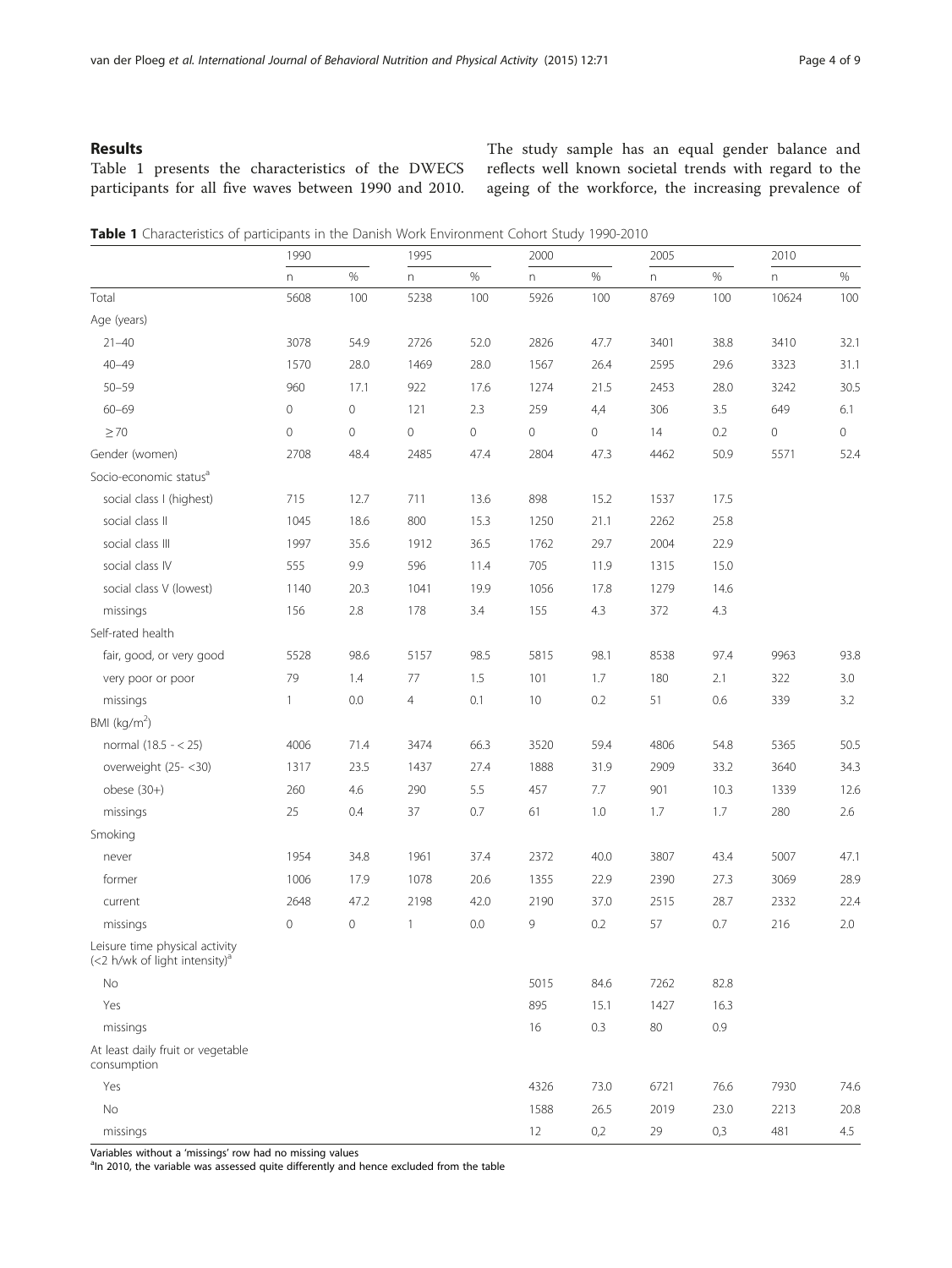#### Results

Table 1 presents the characteristics of the DWECS participants for all five waves between 1990 and 2010. The study sample has an equal gender balance and reflects well known societal trends with regard to the ageing of the workforce, the increasing prevalence of

| Table 1 Characteristics of participants in the Danish Work Environment Cohort Study 1990-2010 |  |  |
|-----------------------------------------------------------------------------------------------|--|--|
|-----------------------------------------------------------------------------------------------|--|--|

|                                                                             | 1990         |             | 1995           |         | 2000 |      | 2005                      |      | 2010  |          |
|-----------------------------------------------------------------------------|--------------|-------------|----------------|---------|------|------|---------------------------|------|-------|----------|
|                                                                             | n            | $\%$        | n              | $\%$    | n    | $\%$ | $\boldsymbol{\mathsf{n}}$ | $\%$ | n     | $\%$     |
| Total                                                                       | 5608         | 100         | 5238           | 100     | 5926 | 100  | 8769                      | 100  | 10624 | 100      |
| Age (years)                                                                 |              |             |                |         |      |      |                           |      |       |          |
| $21 - 40$                                                                   | 3078         | 54.9        | 2726           | 52.0    | 2826 | 47.7 | 3401                      | 38.8 | 3410  | 32.1     |
| $40 - 49$                                                                   | 1570         | 28.0        | 1469           | 28.0    | 1567 | 26.4 | 2595                      | 29.6 | 3323  | 31.1     |
| $50 - 59$                                                                   | 960          | 17.1        | 922            | 17.6    | 1274 | 21.5 | 2453                      | 28.0 | 3242  | 30.5     |
| $60 - 69$                                                                   | $\mathbf 0$  | 0           | 121            | 2.3     | 259  | 4,4  | 306                       | 3.5  | 649   | 6.1      |
| $\geq 70$                                                                   | $\mathbf{0}$ | $\mathbf 0$ | 0              | $\circ$ | 0    | 0    | 14                        | 0.2  | 0     | $\circ$  |
| Gender (women)                                                              | 2708         | 48.4        | 2485           | 47.4    | 2804 | 47.3 | 4462                      | 50.9 | 5571  | 52.4     |
| Socio-economic status <sup>a</sup>                                          |              |             |                |         |      |      |                           |      |       |          |
| social class I (highest)                                                    | 715          | 12.7        | 711            | 13.6    | 898  | 15.2 | 1537                      | 17.5 |       |          |
| social class II                                                             | 1045         | 18.6        | 800            | 15.3    | 1250 | 21.1 | 2262                      | 25.8 |       |          |
| social class III                                                            | 1997         | 35.6        | 1912           | 36.5    | 1762 | 29.7 | 2004                      | 22.9 |       |          |
| social class IV                                                             | 555          | 9.9         | 596            | 11.4    | 705  | 11.9 | 1315                      | 15.0 |       |          |
| social class V (lowest)                                                     | 1140         | 20.3        | 1041           | 19.9    | 1056 | 17.8 | 1279                      | 14.6 |       |          |
| missings                                                                    | 156          | 2.8         | 178            | 3.4     | 155  | 4.3  | 372                       | 4.3  |       |          |
| Self-rated health                                                           |              |             |                |         |      |      |                           |      |       |          |
| fair, good, or very good                                                    | 5528         | 98.6        | 5157           | 98.5    | 5815 | 98.1 | 8538                      | 97.4 | 9963  | 93.8     |
| very poor or poor                                                           | 79           | 1.4         | 77             | 1.5     | 101  | 1.7  | 180                       | 2.1  | 322   | 3.0      |
| missings                                                                    | $\mathbf{1}$ | 0.0         | $\overline{4}$ | 0.1     | 10   | 0.2  | 51                        | 0.6  | 339   | 3.2      |
| BMI ( $kg/m2$ )                                                             |              |             |                |         |      |      |                           |      |       |          |
| normal (18.5 - < 25)                                                        | 4006         | 71.4        | 3474           | 66.3    | 3520 | 59.4 | 4806                      | 54.8 | 5365  | 50.5     |
| overweight (25-<30)                                                         | 1317         | 23.5        | 1437           | 27.4    | 1888 | 31.9 | 2909                      | 33.2 | 3640  | 34.3     |
| $obese (30+)$                                                               | 260          | 4.6         | 290            | 5.5     | 457  | 7.7  | 901                       | 10.3 | 1339  | 12.6     |
| missings                                                                    | 25           | 0.4         | 37             | 0.7     | 61   | 1.0  | 1.7                       | 1.7  | 280   | 2.6      |
| Smoking                                                                     |              |             |                |         |      |      |                           |      |       |          |
| never                                                                       | 1954         | 34.8        | 1961           | 37.4    | 2372 | 40.0 | 3807                      | 43.4 | 5007  | 47.1     |
| former                                                                      | 1006         | 17.9        | 1078           | 20.6    | 1355 | 22.9 | 2390                      | 27.3 | 3069  | 28.9     |
| current                                                                     | 2648         | 47.2        | 2198           | 42.0    | 2190 | 37.0 | 2515                      | 28.7 | 2332  | 22.4     |
| missings                                                                    | $\mathbf 0$  | 0           | $\mathbf{1}$   | 0.0     | 9    | 0.2  | 57                        | 0.7  | 216   | 2.0      |
| Leisure time physical activity<br>(<2 h/wk of light intensity) <sup>a</sup> |              |             |                |         |      |      |                           |      |       |          |
| No.                                                                         |              |             |                |         | 5015 | 84.6 | 7262                      | 82.8 |       |          |
| Yes                                                                         |              |             |                |         | 895  | 15.1 | 1427                      | 16.3 |       |          |
| missings                                                                    |              |             |                |         | 16   | 0.3  | 80                        | 0.9  |       |          |
| At least daily fruit or vegetable<br>consumption                            |              |             |                |         |      |      |                           |      |       |          |
| Yes                                                                         |              |             |                |         | 4326 | 73.0 | 6721                      | 76.6 | 7930  | 74.6     |
| $\rm No$                                                                    |              |             |                |         | 1588 | 26.5 | 2019                      | 23.0 | 2213  | $20.8\,$ |
| missings                                                                    |              |             |                |         | 12   | 0,2  | 29                        | 0,3  | 481   | 4.5      |

Variables without a 'missings' row had no missing values

 $a$ ln 2010, the variable was assessed quite differently and hence excluded from the table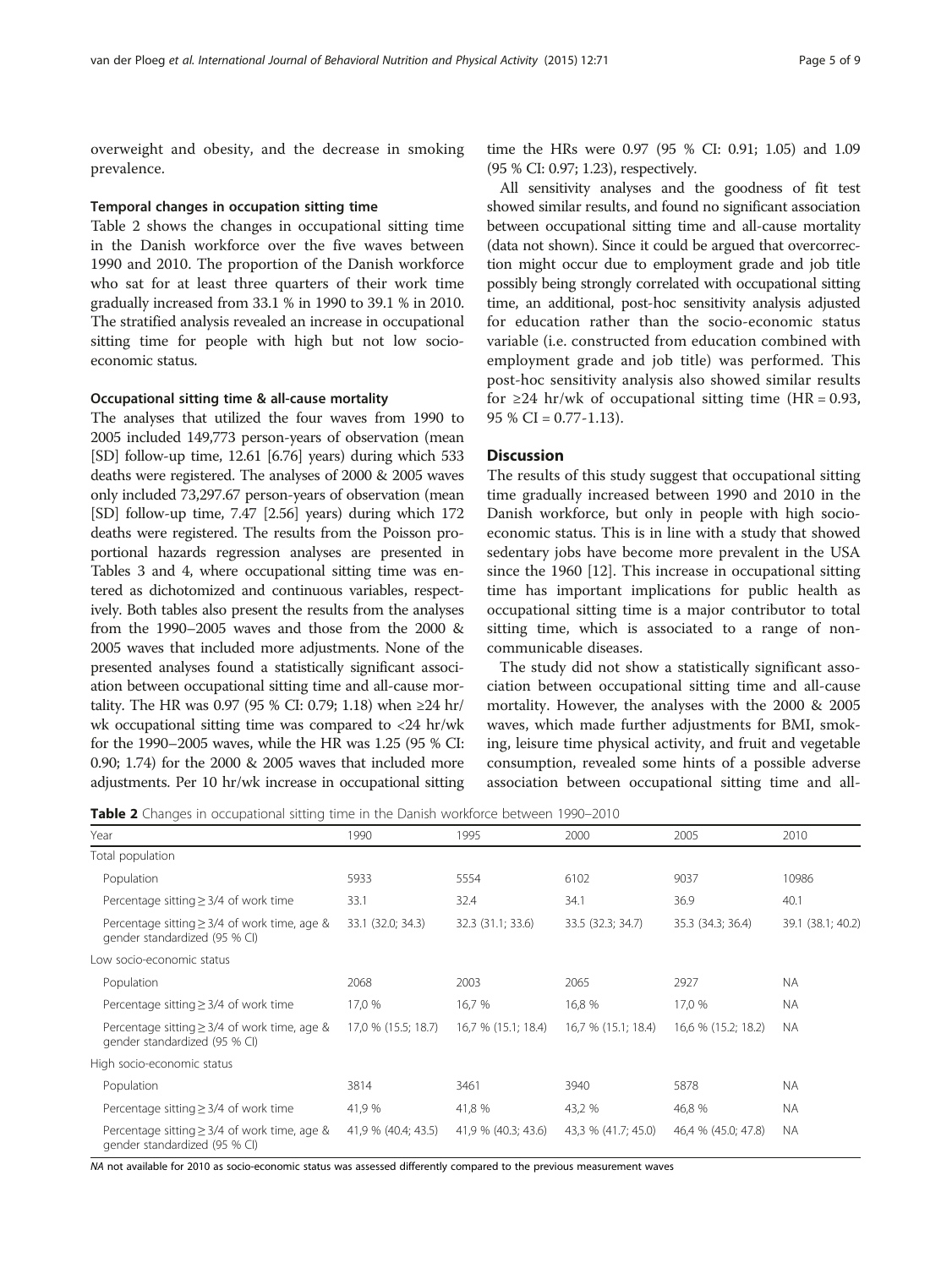overweight and obesity, and the decrease in smoking prevalence.

#### Temporal changes in occupation sitting time

Table 2 shows the changes in occupational sitting time in the Danish workforce over the five waves between 1990 and 2010. The proportion of the Danish workforce who sat for at least three quarters of their work time gradually increased from 33.1 % in 1990 to 39.1 % in 2010. The stratified analysis revealed an increase in occupational sitting time for people with high but not low socioeconomic status.

#### Occupational sitting time & all-cause mortality

The analyses that utilized the four waves from 1990 to 2005 included 149,773 person-years of observation (mean [SD] follow-up time, 12.61 [6.76] years) during which 533 deaths were registered. The analyses of 2000 & 2005 waves only included 73,297.67 person-years of observation (mean [SD] follow-up time, 7.47 [2.56] years) during which 172 deaths were registered. The results from the Poisson proportional hazards regression analyses are presented in Tables [3](#page-5-0) and [4,](#page-6-0) where occupational sitting time was entered as dichotomized and continuous variables, respectively. Both tables also present the results from the analyses from the 1990–2005 waves and those from the 2000 & 2005 waves that included more adjustments. None of the presented analyses found a statistically significant association between occupational sitting time and all-cause mortality. The HR was 0.97 (95 % CI: 0.79; 1.18) when ≥24 hr/ wk occupational sitting time was compared to <24 hr/wk for the 1990–2005 waves, while the HR was 1.25 (95 % CI: 0.90; 1.74) for the 2000 & 2005 waves that included more adjustments. Per 10 hr/wk increase in occupational sitting

time the HRs were 0.97 (95 % CI: 0.91; 1.05) and 1.09 (95 % CI: 0.97; 1.23), respectively.

All sensitivity analyses and the goodness of fit test showed similar results, and found no significant association between occupational sitting time and all-cause mortality (data not shown). Since it could be argued that overcorrection might occur due to employment grade and job title possibly being strongly correlated with occupational sitting time, an additional, post-hoc sensitivity analysis adjusted for education rather than the socio-economic status variable (i.e. constructed from education combined with employment grade and job title) was performed. This post-hoc sensitivity analysis also showed similar results for  $\geq$ 24 hr/wk of occupational sitting time (HR = 0.93,  $95\%$  CI = 0.77-1.13).

#### **Discussion**

The results of this study suggest that occupational sitting time gradually increased between 1990 and 2010 in the Danish workforce, but only in people with high socioeconomic status. This is in line with a study that showed sedentary jobs have become more prevalent in the USA since the 1960 [[12](#page-8-0)]. This increase in occupational sitting time has important implications for public health as occupational sitting time is a major contributor to total sitting time, which is associated to a range of noncommunicable diseases.

The study did not show a statistically significant association between occupational sitting time and all-cause mortality. However, the analyses with the 2000 & 2005 waves, which made further adjustments for BMI, smoking, leisure time physical activity, and fruit and vegetable consumption, revealed some hints of a possible adverse association between occupational sitting time and all-

Table 2 Changes in occupational sitting time in the Danish workforce between 1990-2010

| Year                                                                               | 1990                | 1995                | 2000                | 2005                | 2010              |
|------------------------------------------------------------------------------------|---------------------|---------------------|---------------------|---------------------|-------------------|
| Total population                                                                   |                     |                     |                     |                     |                   |
| Population                                                                         | 5933                | 5554                | 6102                | 9037                | 10986             |
| Percentage sitting $\geq$ 3/4 of work time                                         | 33.1                | 32.4                | 34.1                | 36.9                | 40.1              |
| Percentage sitting $\geq$ 3/4 of work time, age &<br>gender standardized (95 % CI) | 33.1 (32.0; 34.3)   | 32.3 (31.1; 33.6)   | 33.5 (32.3; 34.7)   | 35.3 (34.3; 36.4)   | 39.1 (38.1; 40.2) |
| Low socio-economic status                                                          |                     |                     |                     |                     |                   |
| Population                                                                         | 2068                | 2003                | 2065                | 2927                | <b>NA</b>         |
| Percentage sitting $\geq$ 3/4 of work time                                         | 17,0 %              | 16,7 %              | 16,8 %              | 17,0 %              | <b>NA</b>         |
| Percentage sitting $\geq$ 3/4 of work time, age &<br>gender standardized (95 % CI) | 17,0 % (15.5; 18.7) | 16,7 % (15.1; 18.4) | 16,7 % (15.1; 18.4) | 16,6 % (15.2; 18.2) | <b>NA</b>         |
| High socio-economic status                                                         |                     |                     |                     |                     |                   |
| Population                                                                         | 3814                | 3461                | 3940                | 5878                | <b>NA</b>         |
| Percentage sitting $\geq$ 3/4 of work time                                         | 41,9 %              | 41,8 %              | 43,2 %              | 46,8 %              | <b>NA</b>         |
| Percentage sitting $\geq$ 3/4 of work time, age &<br>gender standardized (95 % CI) | 41,9 % (40.4; 43.5) | 41,9 % (40.3; 43.6) | 43,3 % (41.7; 45.0) | 46,4 % (45.0; 47.8) | <b>NA</b>         |

NA not available for 2010 as socio-economic status was assessed differently compared to the previous measurement waves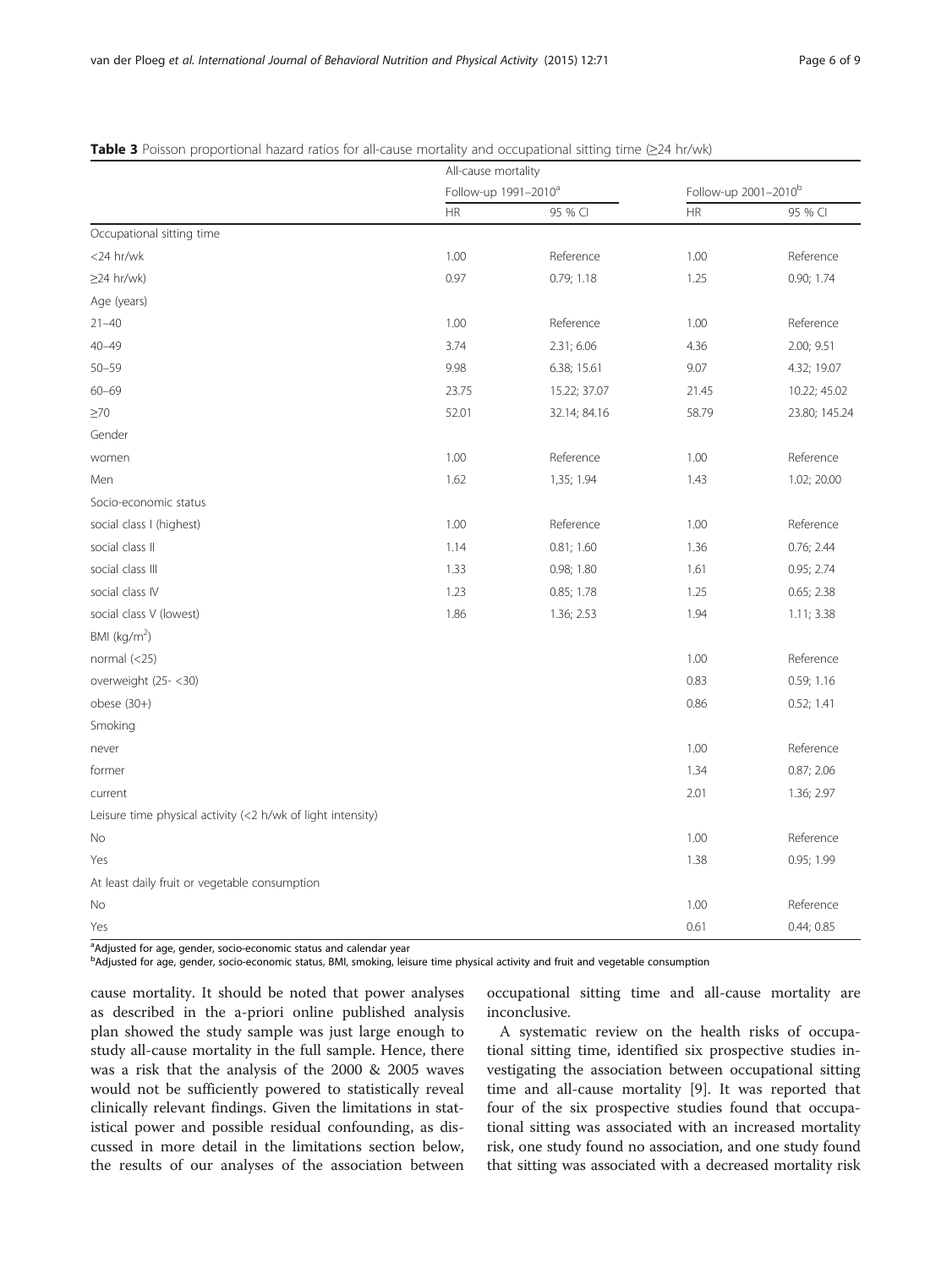|                                                             | All-cause mortality              |              |                                  |               |  |
|-------------------------------------------------------------|----------------------------------|--------------|----------------------------------|---------------|--|
|                                                             | Follow-up 1991-2010 <sup>a</sup> |              | Follow-up 2001-2010 <sup>b</sup> |               |  |
|                                                             | HR                               | 95 % CI      | <b>HR</b>                        | 95 % CI       |  |
| Occupational sitting time                                   |                                  |              |                                  |               |  |
| <24 hr/wk                                                   | 1.00                             | Reference    | 1.00                             | Reference     |  |
| $\geq$ 24 hr/wk)                                            | 0.97                             | 0.79; 1.18   | 1.25                             | 0.90; 1.74    |  |
| Age (years)                                                 |                                  |              |                                  |               |  |
| $21 - 40$                                                   | 1.00                             | Reference    | 1.00                             | Reference     |  |
| $40 - 49$                                                   | 3.74                             | 2.31; 6.06   | 4.36                             | 2.00; 9.51    |  |
| $50 - 59$                                                   | 9.98                             | 6.38; 15.61  | 9.07                             | 4.32; 19.07   |  |
| $60 - 69$                                                   | 23.75                            | 15.22; 37.07 | 21.45                            | 10.22; 45.02  |  |
| $\geq 70$                                                   | 52.01                            | 32.14; 84.16 | 58.79                            | 23.80; 145.24 |  |
| Gender                                                      |                                  |              |                                  |               |  |
| women                                                       | 1.00                             | Reference    | 1.00                             | Reference     |  |
| Men                                                         | 1.62                             | 1,35; 1.94   | 1.43                             | 1.02; 20.00   |  |
| Socio-economic status                                       |                                  |              |                                  |               |  |
| social class I (highest)                                    | 1.00                             | Reference    | 1.00                             | Reference     |  |
| social class II                                             | 1.14                             | 0.81; 1.60   | 1.36                             | 0.76; 2.44    |  |
| social class III                                            | 1.33                             | 0.98; 1.80   | 1.61                             | 0.95; 2.74    |  |
| social class IV                                             | 1.23                             | 0.85; 1.78   | 1.25                             | 0.65; 2.38    |  |
| social class V (lowest)                                     | 1.86                             | 1.36; 2.53   | 1.94                             | 1.11; 3.38    |  |
| BMI ( $kg/m2$ )                                             |                                  |              |                                  |               |  |
| normal $(<25)$                                              |                                  |              | 1.00                             | Reference     |  |
| overweight (25-<30)                                         |                                  |              | 0.83                             | 0.59; 1.16    |  |
| $obese (30+)$                                               |                                  |              | 0.86                             | 0.52; 1.41    |  |
| Smoking                                                     |                                  |              |                                  |               |  |
| never                                                       |                                  |              | 1.00                             | Reference     |  |
| former                                                      |                                  |              | 1.34                             | 0.87; 2.06    |  |
| current                                                     |                                  |              | 2.01                             | 1.36; 2.97    |  |
| Leisure time physical activity (<2 h/wk of light intensity) |                                  |              |                                  |               |  |
| No                                                          |                                  |              | 1.00                             | Reference     |  |
| Yes                                                         |                                  |              | 1.38                             | 0.95; 1.99    |  |
| At least daily fruit or vegetable consumption               |                                  |              |                                  |               |  |
| No                                                          |                                  |              | 1.00                             | Reference     |  |
| Yes                                                         |                                  |              | 0.61                             | 0.44; 0.85    |  |

#### <span id="page-5-0"></span>Table 3 Poisson proportional hazard ratios for all-cause mortality and occupational sitting time (≥24 hr/wk)

<sup>a</sup>Adjusted for age, gender, socio-economic status and calendar year

b<br>Adjusted for age, gender, socio-economic status, BMI, smoking, leisure time physical activity and fruit and vegetable consumption

cause mortality. It should be noted that power analyses as described in the a-priori online published analysis plan showed the study sample was just large enough to study all-cause mortality in the full sample. Hence, there was a risk that the analysis of the 2000 & 2005 waves would not be sufficiently powered to statistically reveal clinically relevant findings. Given the limitations in statistical power and possible residual confounding, as discussed in more detail in the limitations section below, the results of our analyses of the association between occupational sitting time and all-cause mortality are inconclusive.

A systematic review on the health risks of occupational sitting time, identified six prospective studies investigating the association between occupational sitting time and all-cause mortality [[9\]](#page-8-0). It was reported that four of the six prospective studies found that occupational sitting was associated with an increased mortality risk, one study found no association, and one study found that sitting was associated with a decreased mortality risk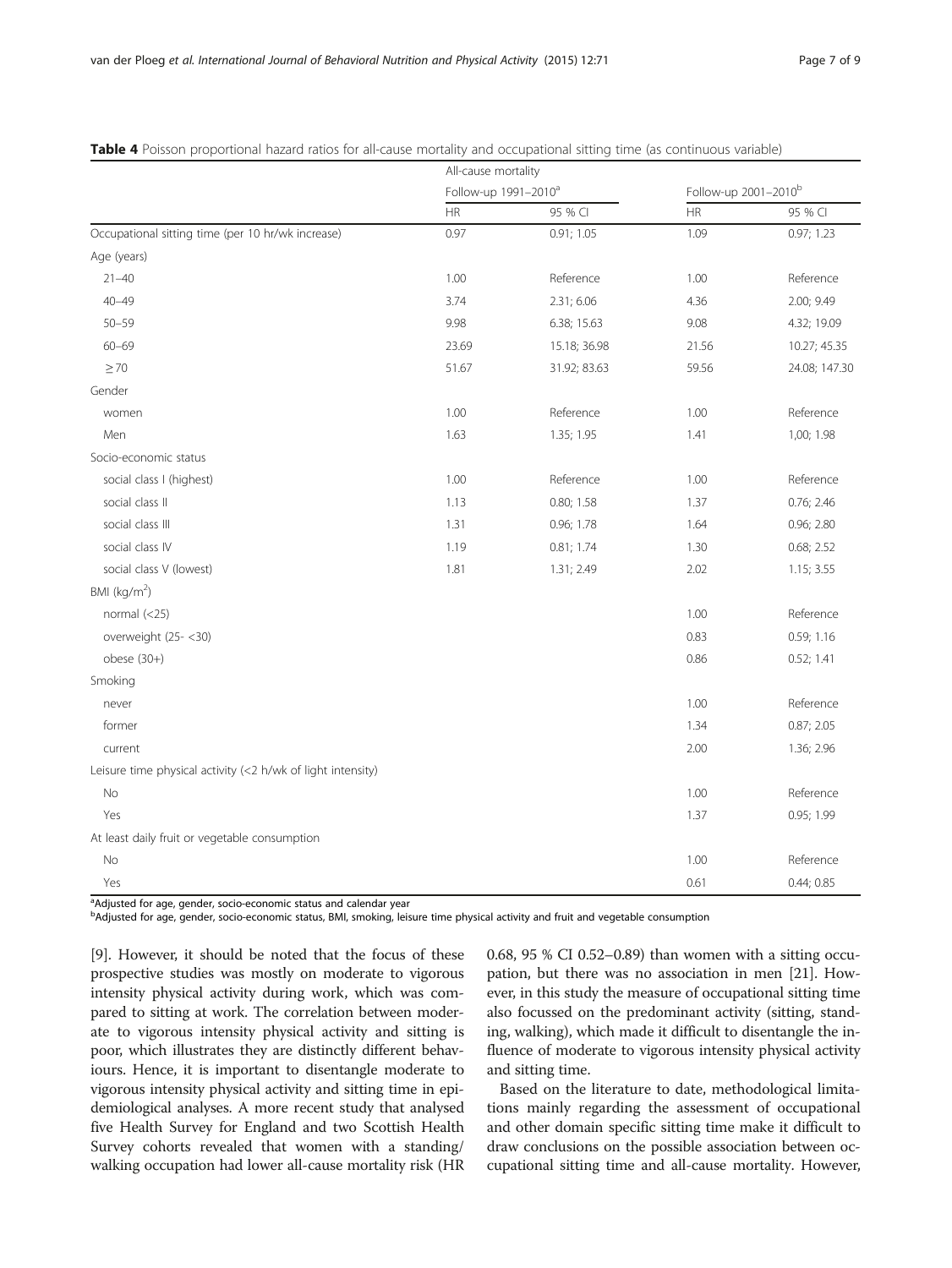|                                                             | All-cause mortality              |              |                                  |               |
|-------------------------------------------------------------|----------------------------------|--------------|----------------------------------|---------------|
|                                                             | Follow-up 1991-2010 <sup>a</sup> |              | Follow-up 2001-2010 <sup>b</sup> |               |
|                                                             | HR                               | 95 % CI      | ${\sf HR}$                       | 95 % CI       |
| Occupational sitting time (per 10 hr/wk increase)           | 0.97                             | 0.91; 1.05   | 1.09                             | 0.97; 1.23    |
| Age (years)                                                 |                                  |              |                                  |               |
| $21 - 40$                                                   | 1.00                             | Reference    | 1.00                             | Reference     |
| $40 - 49$                                                   | 3.74                             | 2.31; 6.06   | 4.36                             | 2.00; 9.49    |
| $50 - 59$                                                   | 9.98                             | 6.38; 15.63  | 9.08                             | 4.32; 19.09   |
| $60 - 69$                                                   | 23.69                            | 15.18; 36.98 | 21.56                            | 10.27; 45.35  |
| $\geq 70$                                                   | 51.67                            | 31.92; 83.63 | 59.56                            | 24.08; 147.30 |
| Gender                                                      |                                  |              |                                  |               |
| women                                                       | 1.00                             | Reference    | 1.00                             | Reference     |
| Men                                                         | 1.63                             | 1.35; 1.95   | 1.41                             | 1,00; 1.98    |
| Socio-economic status                                       |                                  |              |                                  |               |
| social class I (highest)                                    | 1.00                             | Reference    | 1.00                             | Reference     |
| social class II                                             | 1.13                             | 0.80; 1.58   | 1.37                             | 0.76; 2.46    |
| social class III                                            | 1.31                             | 0.96; 1.78   | 1.64                             | 0.96; 2.80    |
| social class IV                                             | 1.19                             | 0.81; 1.74   | 1.30                             | 0.68; 2.52    |
| social class V (lowest)                                     | 1.81                             | 1.31; 2.49   | 2.02                             | 1.15; 3.55    |
| BMI ( $kg/m2$ )                                             |                                  |              |                                  |               |
| normal $(<25)$                                              |                                  |              | 1.00                             | Reference     |
| overweight (25-<30)                                         |                                  |              | 0.83                             | 0.59; 1.16    |
| $obese(30+)$                                                |                                  |              | 0.86                             | 0.52; 1.41    |
| Smoking                                                     |                                  |              |                                  |               |
| never                                                       |                                  |              | 1.00                             | Reference     |
| former                                                      |                                  |              | 1.34                             | 0.87; 2.05    |
| current                                                     |                                  |              | 2.00                             | 1.36; 2.96    |
| Leisure time physical activity (<2 h/wk of light intensity) |                                  |              |                                  |               |
| <b>No</b>                                                   |                                  |              | 1.00                             | Reference     |
| Yes                                                         |                                  |              | 1.37                             | 0.95; 1.99    |
| At least daily fruit or vegetable consumption               |                                  |              |                                  |               |
| No                                                          |                                  |              | 1.00                             | Reference     |
| Yes                                                         |                                  |              | 0.61                             | 0.44; 0.85    |

#### <span id="page-6-0"></span>Table 4 Poisson proportional hazard ratios for all-cause mortality and occupational sitting time (as continuous variable)

<sup>a</sup>Adjusted for age, gender, socio-economic status and calendar year

b<br>Adjusted for age, gender, socio-economic status, BMI, smoking, leisure time physical activity and fruit and vegetable consumption

[[9\]](#page-8-0). However, it should be noted that the focus of these prospective studies was mostly on moderate to vigorous intensity physical activity during work, which was compared to sitting at work. The correlation between moderate to vigorous intensity physical activity and sitting is poor, which illustrates they are distinctly different behaviours. Hence, it is important to disentangle moderate to vigorous intensity physical activity and sitting time in epidemiological analyses. A more recent study that analysed five Health Survey for England and two Scottish Health Survey cohorts revealed that women with a standing/ walking occupation had lower all-cause mortality risk (HR 0.68, 95 % CI 0.52–0.89) than women with a sitting occupation, but there was no association in men [[21](#page-8-0)]. However, in this study the measure of occupational sitting time also focussed on the predominant activity (sitting, standing, walking), which made it difficult to disentangle the influence of moderate to vigorous intensity physical activity and sitting time.

Based on the literature to date, methodological limitations mainly regarding the assessment of occupational and other domain specific sitting time make it difficult to draw conclusions on the possible association between occupational sitting time and all-cause mortality. However,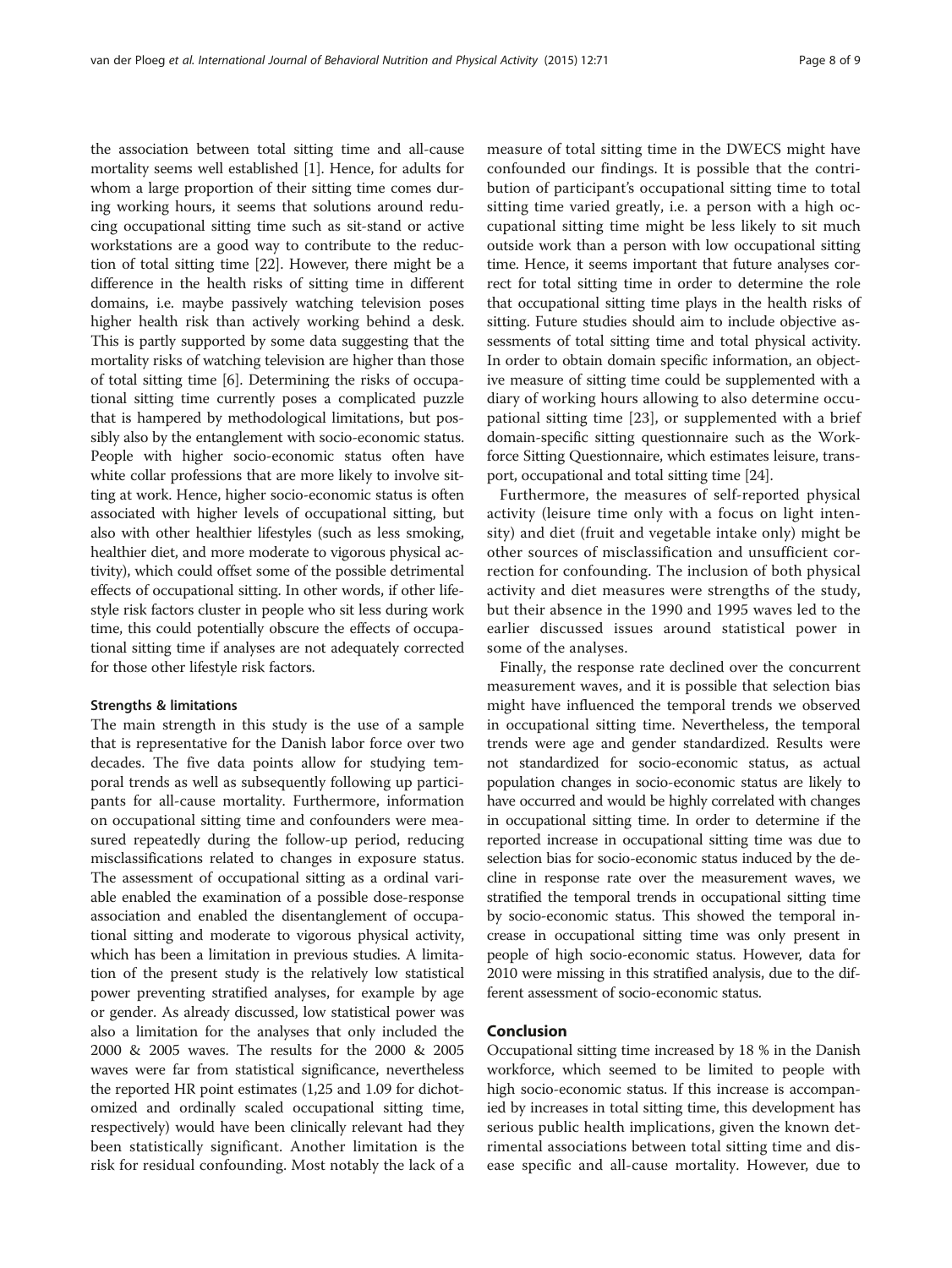the association between total sitting time and all-cause mortality seems well established [\[1\]](#page-8-0). Hence, for adults for whom a large proportion of their sitting time comes during working hours, it seems that solutions around reducing occupational sitting time such as sit-stand or active workstations are a good way to contribute to the reduction of total sitting time [\[22](#page-8-0)]. However, there might be a difference in the health risks of sitting time in different domains, i.e. maybe passively watching television poses higher health risk than actively working behind a desk. This is partly supported by some data suggesting that the mortality risks of watching television are higher than those of total sitting time [\[6\]](#page-8-0). Determining the risks of occupational sitting time currently poses a complicated puzzle that is hampered by methodological limitations, but possibly also by the entanglement with socio-economic status. People with higher socio-economic status often have white collar professions that are more likely to involve sitting at work. Hence, higher socio-economic status is often associated with higher levels of occupational sitting, but also with other healthier lifestyles (such as less smoking, healthier diet, and more moderate to vigorous physical activity), which could offset some of the possible detrimental effects of occupational sitting. In other words, if other lifestyle risk factors cluster in people who sit less during work time, this could potentially obscure the effects of occupational sitting time if analyses are not adequately corrected for those other lifestyle risk factors.

#### Strengths & limitations

The main strength in this study is the use of a sample that is representative for the Danish labor force over two decades. The five data points allow for studying temporal trends as well as subsequently following up participants for all-cause mortality. Furthermore, information on occupational sitting time and confounders were measured repeatedly during the follow-up period, reducing misclassifications related to changes in exposure status. The assessment of occupational sitting as a ordinal variable enabled the examination of a possible dose-response association and enabled the disentanglement of occupational sitting and moderate to vigorous physical activity, which has been a limitation in previous studies. A limitation of the present study is the relatively low statistical power preventing stratified analyses, for example by age or gender. As already discussed, low statistical power was also a limitation for the analyses that only included the 2000 & 2005 waves. The results for the 2000 & 2005 waves were far from statistical significance, nevertheless the reported HR point estimates (1,25 and 1.09 for dichotomized and ordinally scaled occupational sitting time, respectively) would have been clinically relevant had they been statistically significant. Another limitation is the risk for residual confounding. Most notably the lack of a

measure of total sitting time in the DWECS might have confounded our findings. It is possible that the contribution of participant's occupational sitting time to total sitting time varied greatly, i.e. a person with a high occupational sitting time might be less likely to sit much outside work than a person with low occupational sitting time. Hence, it seems important that future analyses correct for total sitting time in order to determine the role that occupational sitting time plays in the health risks of sitting. Future studies should aim to include objective assessments of total sitting time and total physical activity. In order to obtain domain specific information, an objective measure of sitting time could be supplemented with a diary of working hours allowing to also determine occupational sitting time [[23\]](#page-8-0), or supplemented with a brief domain-specific sitting questionnaire such as the Workforce Sitting Questionnaire, which estimates leisure, transport, occupational and total sitting time [\[24\]](#page-8-0).

Furthermore, the measures of self-reported physical activity (leisure time only with a focus on light intensity) and diet (fruit and vegetable intake only) might be other sources of misclassification and unsufficient correction for confounding. The inclusion of both physical activity and diet measures were strengths of the study, but their absence in the 1990 and 1995 waves led to the earlier discussed issues around statistical power in some of the analyses.

Finally, the response rate declined over the concurrent measurement waves, and it is possible that selection bias might have influenced the temporal trends we observed in occupational sitting time. Nevertheless, the temporal trends were age and gender standardized. Results were not standardized for socio-economic status, as actual population changes in socio-economic status are likely to have occurred and would be highly correlated with changes in occupational sitting time. In order to determine if the reported increase in occupational sitting time was due to selection bias for socio-economic status induced by the decline in response rate over the measurement waves, we stratified the temporal trends in occupational sitting time by socio-economic status. This showed the temporal increase in occupational sitting time was only present in people of high socio-economic status. However, data for 2010 were missing in this stratified analysis, due to the different assessment of socio-economic status.

#### Conclusion

Occupational sitting time increased by 18 % in the Danish workforce, which seemed to be limited to people with high socio-economic status. If this increase is accompanied by increases in total sitting time, this development has serious public health implications, given the known detrimental associations between total sitting time and disease specific and all-cause mortality. However, due to